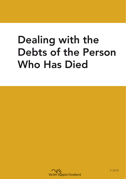## Dealing with the Debts of the Person Who Has Died



F-25-01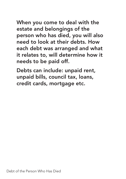When you come to deal with the estate and belongings of the person who has died, you will also need to look at their debts. How each debt was arranged and what it relates to, will determine how it needs to be paid off.

Debts can include: unpaid rent, unpaid bills, council tax, loans, credit cards, mortgage etc.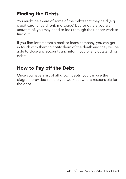## Finding the Debts

You might be aware of some of the debts that they held (e.g. credit card, unpaid rent, mortgage) but for others you are unaware of, you may need to look through their paper work to find out.

If you find letters from a bank or loans company, you can get in touch with them to notify them of the death and they will be able to close any accounts and inform you of any outstanding debts.

## How to Pay off the Debt

Once you have a list of all known debts, you can use the diagram provided to help you work out who is responsible for the debt.